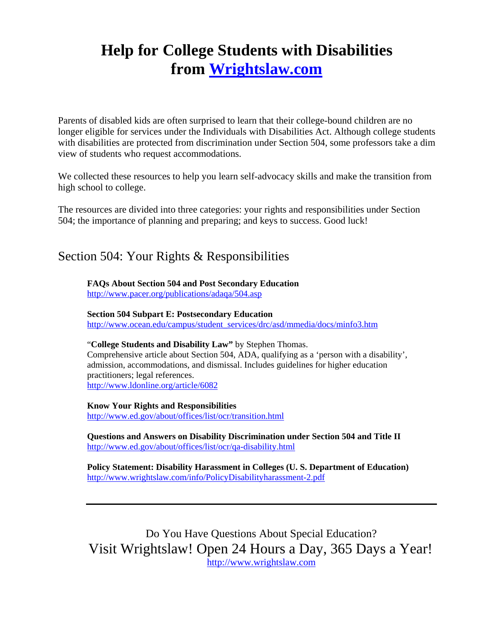# **Help for College Students with Disabilities from [Wrightslaw.com](http://www.wrightslaw.com/)**

Parents of disabled kids are often surprised to learn that their college-bound children are no longer eligible for services under the Individuals with Disabilities Act. Although college students with disabilities are protected from discrimination under Section 504, some professors take a dim view of students who request accommodations.

We collected these resources to help you learn self-advocacy skills and make the transition from high school to college.

The resources are divided into three categories: your rights and responsibilities under Section 504; the importance of planning and preparing; and keys to success. Good luck!

## Section 504: Your Rights & Responsibilities

**FAQs About Section 504 and Post Secondary Education** 

<http://www.pacer.org/publications/adaqa/504.asp>

#### **Section 504 Subpart E: Postsecondary Education**

[http://www.ocean.edu/campus/student\\_services/drc/asd/mmedia/docs/minfo3.htm](http://www.ocean.edu/campus/student_services/drc/asd/mmedia/docs/minfo3.htm)

#### "**College Students and Disability Law"** by Stephen Thomas.

Comprehensive article about Section 504, ADA, qualifying as a 'person with a disability', admission, accommodations, and dismissal. Includes guidelines for higher education practitioners; legal references. <http://www.ldonline.org/article/6082>

**Know Your Rights and Responsibilities**  <http://www.ed.gov/about/offices/list/ocr/transition.html>

**Questions and Answers on Disability Discrimination under Section 504 and Title II**  <http://www.ed.gov/about/offices/list/ocr/qa-disability.html>

**Policy Statement: Disability Harassment in Colleges (U. S. Department of Education)**  <http://www.wrightslaw.com/info/PolicyDisabilityharassment-2.pdf>

Do You Have Questions About Special Education? Visit Wrightslaw! Open 24 Hours a Day, 365 Days a Year! [http://www.wrightslaw.com](http://www.wrightslaw.com/)